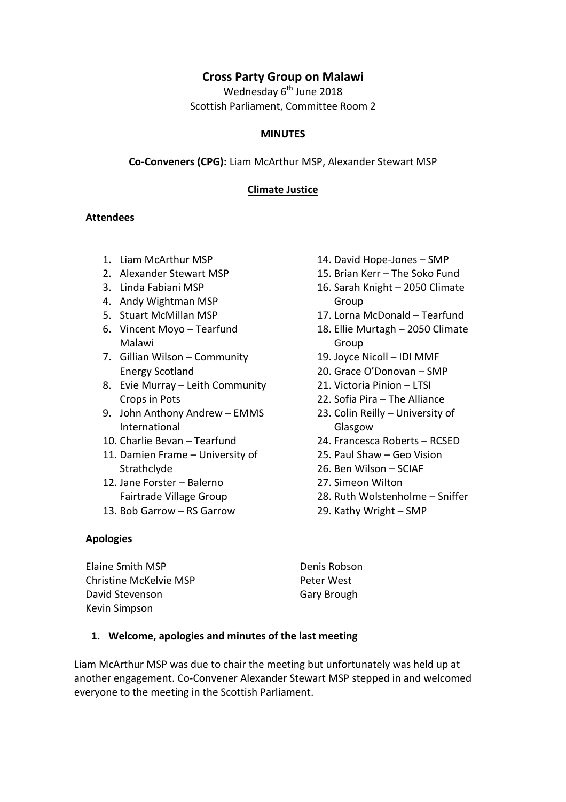# **Cross Party Group on Malawi**

Wednesday  $6<sup>th</sup>$  June 2018 Scottish Parliament, Committee Room 2

#### **MINUTES**

**Co-Conveners (CPG):** Liam McArthur MSP, Alexander Stewart MSP

#### **Climate Justice**

#### **Attendees**

- 1. Liam McArthur MSP
- 2. Alexander Stewart MSP
- 3. Linda Fabiani MSP
- 4. Andy Wightman MSP
- 5. Stuart McMillan MSP
- 6. Vincent Moyo Tearfund Malawi
- 7. Gillian Wilson Community Energy Scotland
- 8. Evie Murray Leith Community Crops in Pots
- 9. John Anthony Andrew EMMS International
- 10. Charlie Bevan Tearfund
- 11. Damien Frame University of Strathclyde
- 12. Jane Forster Balerno Fairtrade Village Group
- 13. Bob Garrow RS Garrow

#### **Apologies**

Elaine Smith MSP Christine McKelvie MSP David Stevenson Kevin Simpson

- 14. David Hope-Jones SMP
- 15. Brian Kerr The Soko Fund
- 16. Sarah Knight 2050 Climate Group
- 17. Lorna McDonald Tearfund
- 18. Ellie Murtagh 2050 Climate Group
- 19. Joyce Nicoll IDI MMF
- 20. Grace O'Donovan SMP
- 21. Victoria Pinion LTSI
- 22. Sofia Pira The Alliance
- 23. Colin Reilly University of Glasgow
- 24. Francesca Roberts RCSED
- 25. Paul Shaw Geo Vision
- 26. Ben Wilson SCIAF
- 27. Simeon Wilton
- 28. Ruth Wolstenholme Sniffer
- 29. Kathy Wright SMP

Denis Robson Peter West Gary Brough

#### **1. Welcome, apologies and minutes of the last meeting**

Liam McArthur MSP was due to chair the meeting but unfortunately was held up at another engagement. Co-Convener Alexander Stewart MSP stepped in and welcomed everyone to the meeting in the Scottish Parliament.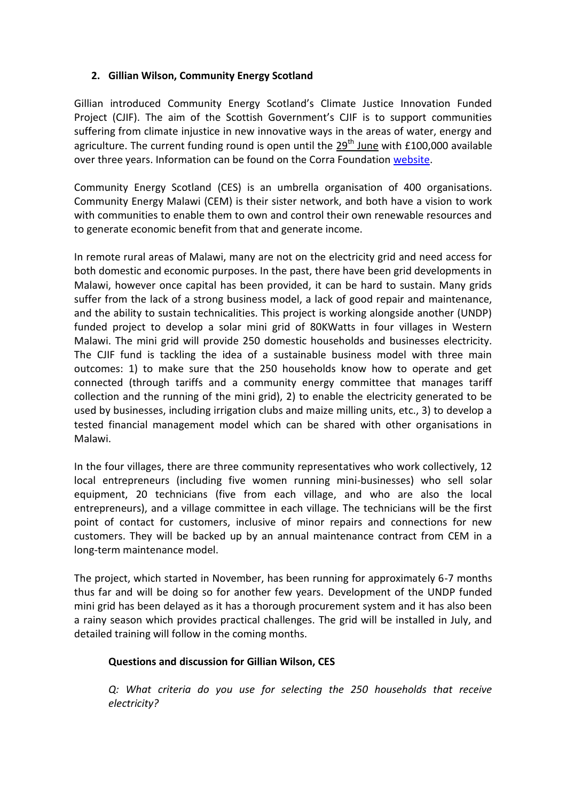# **2. Gillian Wilson, Community Energy Scotland**

Gillian introduced Community Energy Scotland's Climate Justice Innovation Funded Project (CJIF). The aim of the Scottish Government's CJIF is to support communities suffering from climate injustice in new innovative ways in the areas of water, energy and agriculture. The current funding round is open until the  $29<sup>th</sup>$  June with £100,000 available over three years. Information can be found on the Corra Foundation [website.](https://www.corra.scot/grant-programmes/climate-justice-innovation-fund/)

Community Energy Scotland (CES) is an umbrella organisation of 400 organisations. Community Energy Malawi (CEM) is their sister network, and both have a vision to work with communities to enable them to own and control their own renewable resources and to generate economic benefit from that and generate income.

In remote rural areas of Malawi, many are not on the electricity grid and need access for both domestic and economic purposes. In the past, there have been grid developments in Malawi, however once capital has been provided, it can be hard to sustain. Many grids suffer from the lack of a strong business model, a lack of good repair and maintenance, and the ability to sustain technicalities. This project is working alongside another (UNDP) funded project to develop a solar mini grid of 80KWatts in four villages in Western Malawi. The mini grid will provide 250 domestic households and businesses electricity. The CJIF fund is tackling the idea of a sustainable business model with three main outcomes: 1) to make sure that the 250 households know how to operate and get connected (through tariffs and a community energy committee that manages tariff collection and the running of the mini grid), 2) to enable the electricity generated to be used by businesses, including irrigation clubs and maize milling units, etc., 3) to develop a tested financial management model which can be shared with other organisations in Malawi.

In the four villages, there are three community representatives who work collectively, 12 local entrepreneurs (including five women running mini-businesses) who sell solar equipment, 20 technicians (five from each village, and who are also the local entrepreneurs), and a village committee in each village. The technicians will be the first point of contact for customers, inclusive of minor repairs and connections for new customers. They will be backed up by an annual maintenance contract from CEM in a long-term maintenance model.

The project, which started in November, has been running for approximately 6-7 months thus far and will be doing so for another few years. Development of the UNDP funded mini grid has been delayed as it has a thorough procurement system and it has also been a rainy season which provides practical challenges. The grid will be installed in July, and detailed training will follow in the coming months.

### **Questions and discussion for Gillian Wilson, CES**

*Q: What criteria do you use for selecting the 250 households that receive electricity?*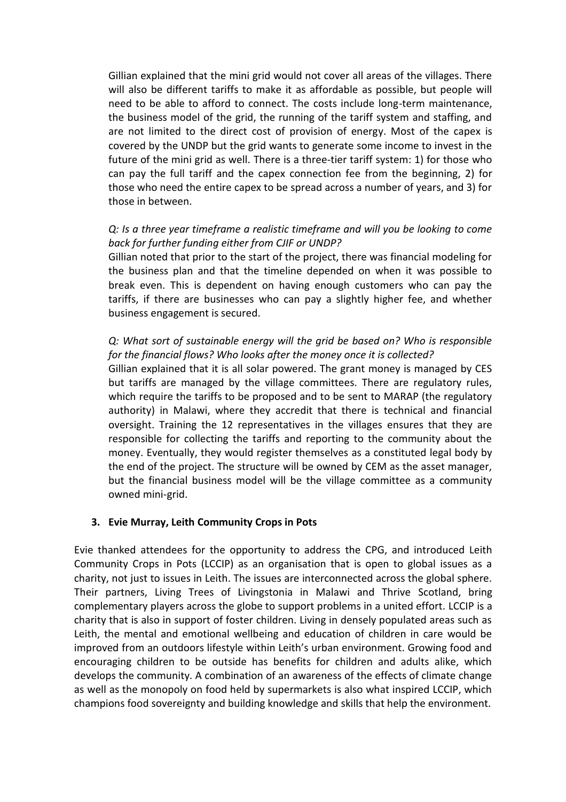Gillian explained that the mini grid would not cover all areas of the villages. There will also be different tariffs to make it as affordable as possible, but people will need to be able to afford to connect. The costs include long-term maintenance, the business model of the grid, the running of the tariff system and staffing, and are not limited to the direct cost of provision of energy. Most of the capex is covered by the UNDP but the grid wants to generate some income to invest in the future of the mini grid as well. There is a three-tier tariff system: 1) for those who can pay the full tariff and the capex connection fee from the beginning, 2) for those who need the entire capex to be spread across a number of years, and 3) for those in between.

# *Q: Is a three year timeframe a realistic timeframe and will you be looking to come back for further funding either from CJIF or UNDP?*

Gillian noted that prior to the start of the project, there was financial modeling for the business plan and that the timeline depended on when it was possible to break even. This is dependent on having enough customers who can pay the tariffs, if there are businesses who can pay a slightly higher fee, and whether business engagement is secured.

# *Q: What sort of sustainable energy will the grid be based on? Who is responsible for the financial flows? Who looks after the money once it is collected?*

Gillian explained that it is all solar powered. The grant money is managed by CES but tariffs are managed by the village committees. There are regulatory rules, which require the tariffs to be proposed and to be sent to MARAP (the regulatory authority) in Malawi, where they accredit that there is technical and financial oversight. Training the 12 representatives in the villages ensures that they are responsible for collecting the tariffs and reporting to the community about the money. Eventually, they would register themselves as a constituted legal body by the end of the project. The structure will be owned by CEM as the asset manager, but the financial business model will be the village committee as a community owned mini-grid.

### **3. Evie Murray, Leith Community Crops in Pots**

Evie thanked attendees for the opportunity to address the CPG, and introduced Leith Community Crops in Pots (LCCIP) as an organisation that is open to global issues as a charity, not just to issues in Leith. The issues are interconnected across the global sphere. Their partners, Living Trees of Livingstonia in Malawi and Thrive Scotland, bring complementary players across the globe to support problems in a united effort. LCCIP is a charity that is also in support of foster children. Living in densely populated areas such as Leith, the mental and emotional wellbeing and education of children in care would be improved from an outdoors lifestyle within Leith's urban environment. Growing food and encouraging children to be outside has benefits for children and adults alike, which develops the community. A combination of an awareness of the effects of climate change as well as the monopoly on food held by supermarkets is also what inspired LCCIP, which champions food sovereignty and building knowledge and skills that help the environment.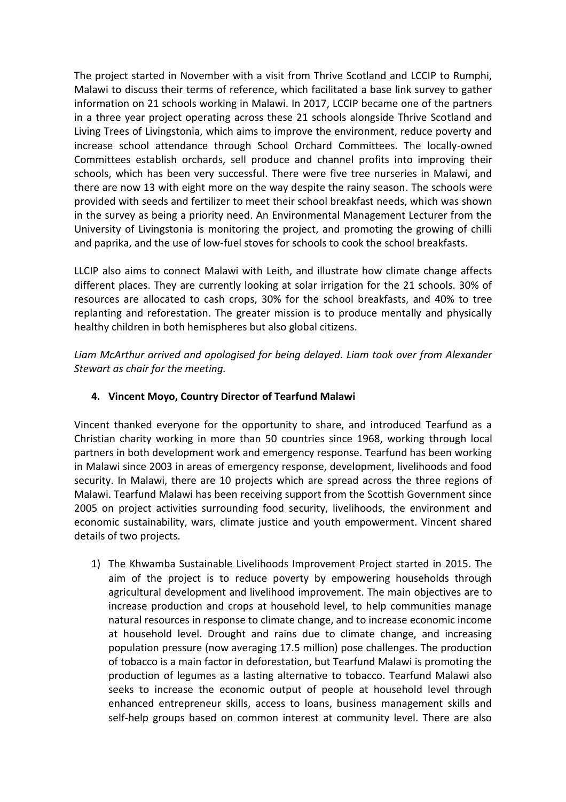The project started in November with a visit from Thrive Scotland and LCCIP to Rumphi, Malawi to discuss their terms of reference, which facilitated a base link survey to gather information on 21 schools working in Malawi. In 2017, LCCIP became one of the partners in a three year project operating across these 21 schools alongside Thrive Scotland and Living Trees of Livingstonia, which aims to improve the environment, reduce poverty and increase school attendance through School Orchard Committees. The locally-owned Committees establish orchards, sell produce and channel profits into improving their schools, which has been very successful. There were five tree nurseries in Malawi, and there are now 13 with eight more on the way despite the rainy season. The schools were provided with seeds and fertilizer to meet their school breakfast needs, which was shown in the survey as being a priority need. An Environmental Management Lecturer from the University of Livingstonia is monitoring the project, and promoting the growing of chilli and paprika, and the use of low-fuel stoves for schools to cook the school breakfasts.

LLCIP also aims to connect Malawi with Leith, and illustrate how climate change affects different places. They are currently looking at solar irrigation for the 21 schools. 30% of resources are allocated to cash crops, 30% for the school breakfasts, and 40% to tree replanting and reforestation. The greater mission is to produce mentally and physically healthy children in both hemispheres but also global citizens.

*Liam McArthur arrived and apologised for being delayed. Liam took over from Alexander Stewart as chair for the meeting.*

### **4. Vincent Moyo, Country Director of Tearfund Malawi**

Vincent thanked everyone for the opportunity to share, and introduced Tearfund as a Christian charity working in more than 50 countries since 1968, working through local partners in both development work and emergency response. Tearfund has been working in Malawi since 2003 in areas of emergency response, development, livelihoods and food security. In Malawi, there are 10 projects which are spread across the three regions of Malawi. Tearfund Malawi has been receiving support from the Scottish Government since 2005 on project activities surrounding food security, livelihoods, the environment and economic sustainability, wars, climate justice and youth empowerment. Vincent shared details of two projects.

1) The Khwamba Sustainable Livelihoods Improvement Project started in 2015. The aim of the project is to reduce poverty by empowering households through agricultural development and livelihood improvement. The main objectives are to increase production and crops at household level, to help communities manage natural resources in response to climate change, and to increase economic income at household level. Drought and rains due to climate change, and increasing population pressure (now averaging 17.5 million) pose challenges. The production of tobacco is a main factor in deforestation, but Tearfund Malawi is promoting the production of legumes as a lasting alternative to tobacco. Tearfund Malawi also seeks to increase the economic output of people at household level through enhanced entrepreneur skills, access to loans, business management skills and self-help groups based on common interest at community level. There are also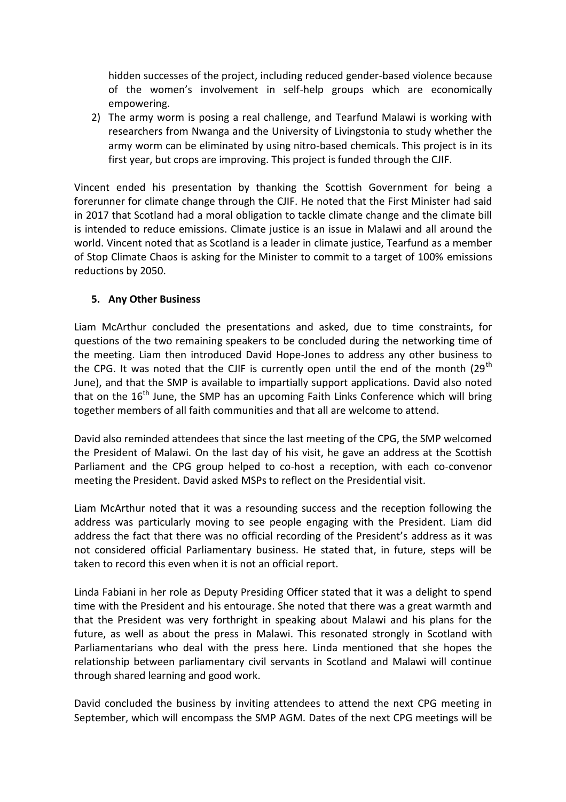hidden successes of the project, including reduced gender-based violence because of the women's involvement in self-help groups which are economically empowering.

2) The army worm is posing a real challenge, and Tearfund Malawi is working with researchers from Nwanga and the University of Livingstonia to study whether the army worm can be eliminated by using nitro-based chemicals. This project is in its first year, but crops are improving. This project is funded through the CJIF.

Vincent ended his presentation by thanking the Scottish Government for being a forerunner for climate change through the CJIF. He noted that the First Minister had said in 2017 that Scotland had a moral obligation to tackle climate change and the climate bill is intended to reduce emissions. Climate justice is an issue in Malawi and all around the world. Vincent noted that as Scotland is a leader in climate justice, Tearfund as a member of Stop Climate Chaos is asking for the Minister to commit to a target of 100% emissions reductions by 2050.

#### **5. Any Other Business**

Liam McArthur concluded the presentations and asked, due to time constraints, for questions of the two remaining speakers to be concluded during the networking time of the meeting. Liam then introduced David Hope-Jones to address any other business to the CPG. It was noted that the CJIF is currently open until the end of the month  $(29<sup>th</sup>$ June), and that the SMP is available to impartially support applications. David also noted that on the  $16<sup>th</sup>$  June, the SMP has an upcoming Faith Links Conference which will bring together members of all faith communities and that all are welcome to attend.

David also reminded attendees that since the last meeting of the CPG, the SMP welcomed the President of Malawi. On the last day of his visit, he gave an address at the Scottish Parliament and the CPG group helped to co-host a reception, with each co-convenor meeting the President. David asked MSPs to reflect on the Presidential visit.

Liam McArthur noted that it was a resounding success and the reception following the address was particularly moving to see people engaging with the President. Liam did address the fact that there was no official recording of the President's address as it was not considered official Parliamentary business. He stated that, in future, steps will be taken to record this even when it is not an official report.

Linda Fabiani in her role as Deputy Presiding Officer stated that it was a delight to spend time with the President and his entourage. She noted that there was a great warmth and that the President was very forthright in speaking about Malawi and his plans for the future, as well as about the press in Malawi. This resonated strongly in Scotland with Parliamentarians who deal with the press here. Linda mentioned that she hopes the relationship between parliamentary civil servants in Scotland and Malawi will continue through shared learning and good work.

David concluded the business by inviting attendees to attend the next CPG meeting in September, which will encompass the SMP AGM. Dates of the next CPG meetings will be